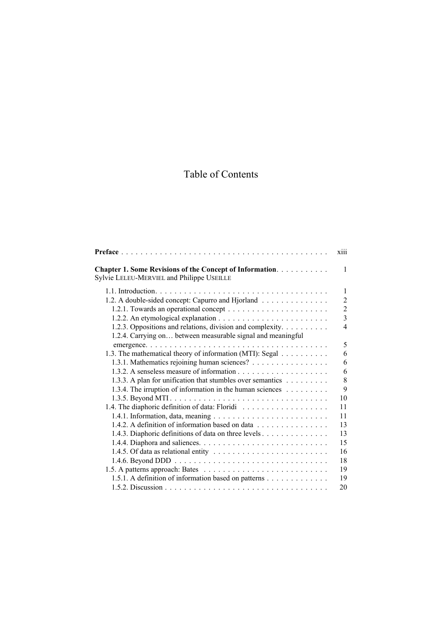## Table of Contents

|                                                                                                              | xiii           |
|--------------------------------------------------------------------------------------------------------------|----------------|
| <b>Chapter 1. Some Revisions of the Concept of Information.</b><br>Sylvie LELEU-MERVIEL and Philippe USEILLE | 1              |
|                                                                                                              | 1              |
| 1.2. A double-sided concept: Capurro and Hjorland                                                            | $\overline{2}$ |
|                                                                                                              | $\overline{2}$ |
|                                                                                                              | $\overline{3}$ |
| 1.2.3. Oppositions and relations, division and complexity.                                                   | $\overline{4}$ |
| 1.2.4. Carrying on between measurable signal and meaningful                                                  |                |
|                                                                                                              | 5              |
| 1.3. The mathematical theory of information (MTI): Segal                                                     | 6              |
| 1.3.1. Mathematics rejoining human sciences?                                                                 | 6              |
|                                                                                                              | 6              |
| 1.3.3. A plan for unification that stumbles over semantics                                                   | 8              |
| 1.3.4. The irruption of information in the human sciences                                                    | 9              |
|                                                                                                              | 10             |
|                                                                                                              | 11             |
|                                                                                                              | 11             |
| 1.4.2. A definition of information based on data                                                             | 13             |
| 1.4.3. Diaphoric definitions of data on three levels                                                         | 13             |
|                                                                                                              | 15             |
|                                                                                                              | 16             |
|                                                                                                              | 18             |
|                                                                                                              | 19             |
| 1.5.1. A definition of information based on patterns                                                         | 19             |
|                                                                                                              | 20             |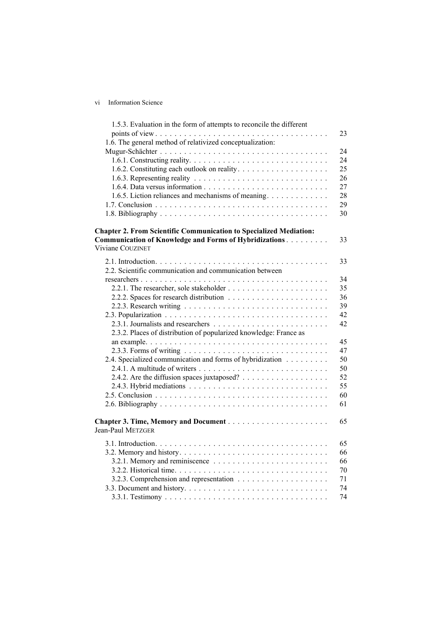## vi Information Science

| 1.5.3. Evaluation in the form of attempts to reconcile the different                             | 23 |
|--------------------------------------------------------------------------------------------------|----|
| 1.6. The general method of relativized conceptualization:                                        |    |
|                                                                                                  | 24 |
|                                                                                                  | 24 |
|                                                                                                  | 25 |
|                                                                                                  |    |
|                                                                                                  | 26 |
|                                                                                                  | 27 |
| 1.6.5. Liction reliances and mechanisms of meaning.                                              | 28 |
|                                                                                                  | 29 |
|                                                                                                  | 30 |
| <b>Chapter 2. From Scientific Communication to Specialized Mediation:</b>                        |    |
| Communication of Knowledge and Forms of Hybridizations                                           | 33 |
| Viviane COUZINET                                                                                 |    |
|                                                                                                  | 33 |
| 2.2. Scientific communication and communication between                                          |    |
|                                                                                                  | 34 |
|                                                                                                  | 35 |
|                                                                                                  | 36 |
|                                                                                                  |    |
|                                                                                                  | 39 |
|                                                                                                  | 42 |
|                                                                                                  | 42 |
| 2.3.2. Places of distribution of popularized knowledge: France as                                |    |
|                                                                                                  | 45 |
|                                                                                                  | 47 |
| 2.4. Specialized communication and forms of hybridization                                        | 50 |
|                                                                                                  | 50 |
|                                                                                                  | 52 |
| 2.4.3. Hybrid mediations $\ldots \ldots \ldots \ldots \ldots \ldots \ldots \ldots \ldots \ldots$ | 55 |
|                                                                                                  | 60 |
|                                                                                                  | 61 |
|                                                                                                  | 65 |
| <b>Jean-Paul METZGER</b>                                                                         |    |
|                                                                                                  | 65 |
|                                                                                                  | 66 |
|                                                                                                  | 66 |
|                                                                                                  | 70 |
|                                                                                                  | 71 |
|                                                                                                  | 74 |
|                                                                                                  | 74 |
|                                                                                                  |    |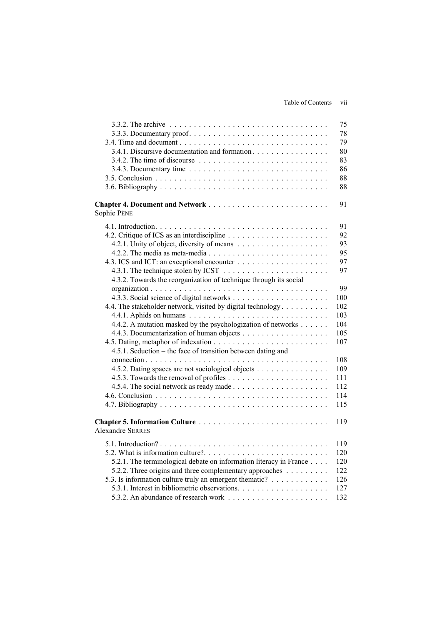|                                                                    | 75  |
|--------------------------------------------------------------------|-----|
|                                                                    | 78  |
|                                                                    | 79  |
| 3.4.1. Discursive documentation and formation.                     | 80  |
|                                                                    | 83  |
|                                                                    | 86  |
|                                                                    | 88  |
|                                                                    | 88  |
| Sophie PÈNE                                                        | 91  |
|                                                                    | 91  |
|                                                                    | 92  |
|                                                                    | 93  |
|                                                                    | 95  |
|                                                                    | 97  |
|                                                                    | 97  |
| 4.3.2. Towards the reorganization of technique through its social  |     |
|                                                                    | 99  |
|                                                                    | 100 |
| 4.4. The stakeholder network, visited by digital technology        | 102 |
|                                                                    | 103 |
| 4.4.2. A mutation masked by the psychologization of networks       | 104 |
|                                                                    | 105 |
|                                                                    | 107 |
| 4.5.1. Seduction – the face of transition between dating and       |     |
|                                                                    |     |
|                                                                    | 108 |
| 4.5.2. Dating spaces are not sociological objects                  | 109 |
|                                                                    | 111 |
|                                                                    | 112 |
|                                                                    | 114 |
|                                                                    | 115 |
| <b>Alexandre SERRES</b>                                            | 119 |
|                                                                    | 119 |
|                                                                    | 120 |
| 5.2.1. The terminological debate on information literacy in France | 120 |
| 5.2.2. Three origins and three complementary approaches            | 122 |
| 5.3. Is information culture truly an emergent thematic?            | 126 |
|                                                                    | 127 |
|                                                                    | 132 |
|                                                                    |     |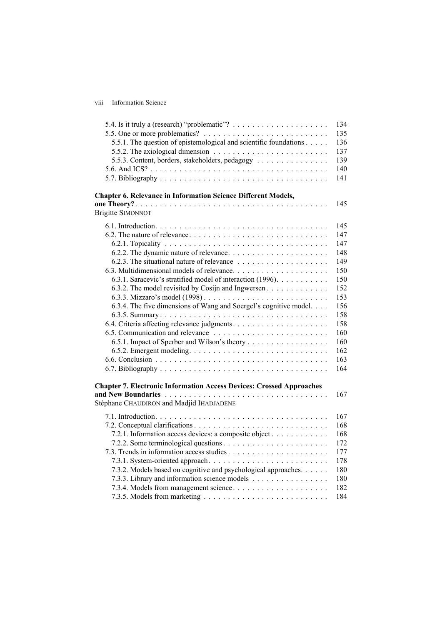viii Information Science

|                                                                                     | 134 |
|-------------------------------------------------------------------------------------|-----|
|                                                                                     | 135 |
| 5.5.1. The question of epistemological and scientific foundations                   | 136 |
| 5.5.2. The axiological dimension $\ldots \ldots \ldots \ldots \ldots \ldots \ldots$ | 137 |
| 5.5.3. Content, borders, stakeholders, pedagogy                                     | 139 |
|                                                                                     | 140 |
|                                                                                     | 141 |
| <b>Chapter 6. Relevance in Information Science Different Models,</b>                |     |
|                                                                                     | 145 |
| <b>Brigitte SIMONNOT</b>                                                            |     |
|                                                                                     | 145 |
|                                                                                     | 147 |
|                                                                                     | 147 |
|                                                                                     | 148 |
|                                                                                     | 149 |
|                                                                                     | 150 |
| 6.3.1. Saracevic's stratified model of interaction (1996).                          | 150 |
| 6.3.2. The model revisited by Cosijn and Ingwersen                                  | 152 |
|                                                                                     | 153 |
| 6.3.4. The five dimensions of Wang and Soergel's cognitive model.                   | 156 |
|                                                                                     | 158 |
|                                                                                     | 158 |
|                                                                                     | 160 |
| 6.5.1. Impact of Sperber and Wilson's theory                                        | 160 |
|                                                                                     | 162 |
|                                                                                     | 163 |
|                                                                                     | 164 |
|                                                                                     |     |
| <b>Chapter 7. Electronic Information Access Devices: Crossed Approaches</b>         | 167 |
| Stéphane CHAUDIRON and Madjid IHADJADENE                                            |     |
|                                                                                     |     |
|                                                                                     | 167 |
|                                                                                     | 168 |
| 7.2.1. Information access devices: a composite object                               | 168 |
|                                                                                     | 172 |
|                                                                                     | 177 |
|                                                                                     | 178 |
| 7.3.2. Models based on cognitive and psychological approaches.                      | 180 |
| 7.3.3. Library and information science models                                       | 180 |
|                                                                                     | 182 |
|                                                                                     | 184 |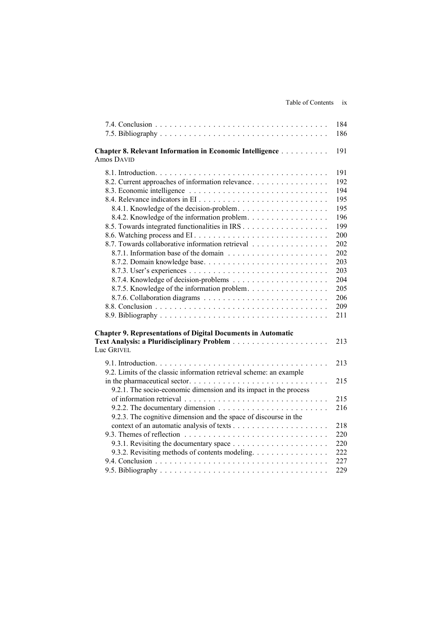|                                                                                            | 184 |
|--------------------------------------------------------------------------------------------|-----|
|                                                                                            | 186 |
| Chapter 8. Relevant Information in Economic Intelligence<br>Amos DAVID                     | 191 |
|                                                                                            | 191 |
| 8.2. Current approaches of information relevance                                           | 192 |
|                                                                                            | 194 |
|                                                                                            | 195 |
| 8.4.1. Knowledge of the decision-problem                                                   | 195 |
| 8.4.2. Knowledge of the information problem.                                               | 196 |
|                                                                                            | 199 |
|                                                                                            | 200 |
| 8.7. Towards collaborative information retrieval                                           | 202 |
|                                                                                            | 202 |
| 8.7.2. Domain knowledge base                                                               | 203 |
|                                                                                            | 203 |
|                                                                                            | 204 |
| 8.7.5. Knowledge of the information problem.                                               | 205 |
|                                                                                            | 206 |
|                                                                                            | 209 |
|                                                                                            | 211 |
| <b>Chapter 9. Representations of Digital Documents in Automatic</b>                        |     |
|                                                                                            | 213 |
| Luc GRIVEL                                                                                 |     |
|                                                                                            | 213 |
| 9.2. Limits of the classic information retrieval scheme: an example                        |     |
|                                                                                            | 215 |
| 9.2.1. The socio-economic dimension and its impact in the process                          |     |
|                                                                                            | 215 |
| 9.2.2. The documentary dimension $\ldots \ldots \ldots \ldots \ldots \ldots \ldots \ldots$ | 216 |
| 9.2.3. The cognitive dimension and the space of discourse in the                           |     |
|                                                                                            | 218 |
|                                                                                            | 220 |
|                                                                                            | 220 |
| 9.3.2. Revisiting methods of contents modeling.                                            | 222 |
|                                                                                            | 227 |
|                                                                                            | 229 |
|                                                                                            |     |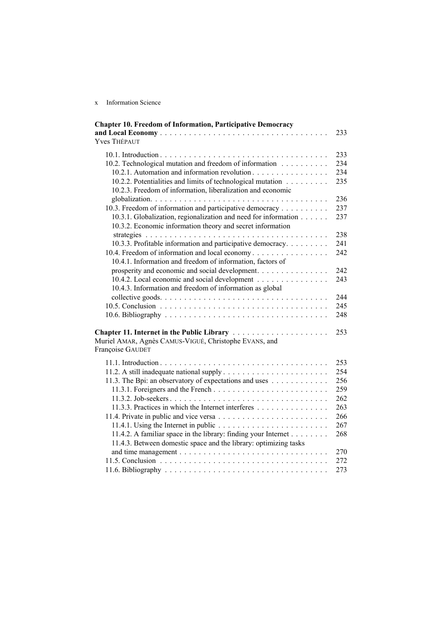x Information Science

| <b>Chapter 10. Freedom of Information, Participative Democracy</b>                      |     |
|-----------------------------------------------------------------------------------------|-----|
|                                                                                         | 233 |
| <b>Yves THÉPAUT</b>                                                                     |     |
|                                                                                         | 233 |
| 10.2. Technological mutation and freedom of information                                 | 234 |
| 10.2.1. Automation and information revolution                                           | 234 |
| 10.2.2. Potentialities and limits of technological mutation                             | 235 |
| 10.2.3. Freedom of information, liberalization and economic                             |     |
|                                                                                         | 236 |
| 10.3. Freedom of information and participative democracy                                | 237 |
| 10.3.1. Globalization, regionalization and need for information                         | 237 |
| 10.3.2. Economic information theory and secret information                              |     |
|                                                                                         | 238 |
| 10.3.3. Profitable information and participative democracy                              | 241 |
| 10.4. Freedom of information and local economy                                          | 242 |
| 10.4.1. Information and freedom of information, factors of                              |     |
| prosperity and economic and social development.                                         | 242 |
| 10.4.2. Local economic and social development                                           | 243 |
| 10.4.3. Information and freedom of information as global                                |     |
|                                                                                         | 244 |
|                                                                                         |     |
|                                                                                         | 245 |
|                                                                                         | 248 |
| Chapter 11. Internet in the Public Library                                              | 253 |
| Muriel AMAR, Agnès CAMUS-VIGUÉ, Christophe EVANS, and                                   |     |
| Françoise GAUDET                                                                        |     |
|                                                                                         |     |
|                                                                                         | 253 |
|                                                                                         | 254 |
| 11.3. The Bpi: an observatory of expectations and uses                                  | 256 |
|                                                                                         | 259 |
|                                                                                         | 262 |
| 11.3.3. Practices in which the Internet interferes                                      | 263 |
|                                                                                         | 266 |
| 11.4.1. Using the Internet in public $\ldots \ldots \ldots \ldots \ldots \ldots \ldots$ | 267 |
| 11.4.2. A familiar space in the library: finding your Internet                          | 268 |
| 11.4.3. Between domestic space and the library: optimizing tasks                        |     |
|                                                                                         | 270 |
|                                                                                         | 272 |
|                                                                                         | 273 |